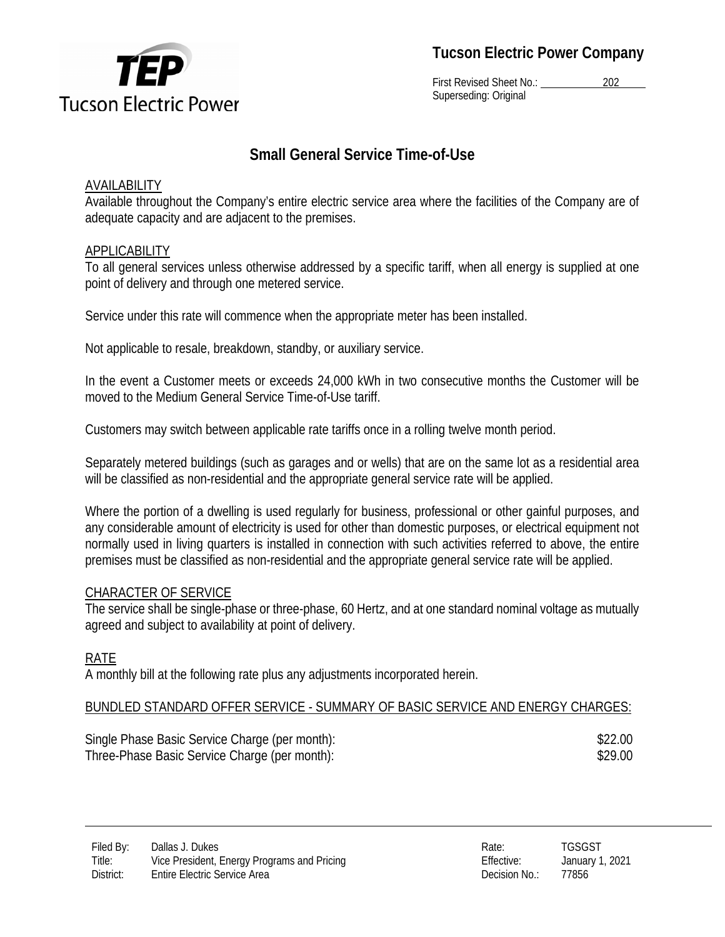

**Tucson Electric Power Company** 

First Revised Sheet No.: 202 Superseding: Original

# **Small General Service Time-of-Use**

## AVAILABILITY

Available throughout the Company's entire electric service area where the facilities of the Company are of adequate capacity and are adjacent to the premises.

## APPLICABILITY

To all general services unless otherwise addressed by a specific tariff, when all energy is supplied at one point of delivery and through one metered service.

Service under this rate will commence when the appropriate meter has been installed.

Not applicable to resale, breakdown, standby, or auxiliary service.

In the event a Customer meets or exceeds 24,000 kWh in two consecutive months the Customer will be moved to the Medium General Service Time-of-Use tariff.

Customers may switch between applicable rate tariffs once in a rolling twelve month period.

Separately metered buildings (such as garages and or wells) that are on the same lot as a residential area will be classified as non-residential and the appropriate general service rate will be applied.

Where the portion of a dwelling is used regularly for business, professional or other gainful purposes, and any considerable amount of electricity is used for other than domestic purposes, or electrical equipment not normally used in living quarters is installed in connection with such activities referred to above, the entire premises must be classified as non-residential and the appropriate general service rate will be applied.

## CHARACTER OF SERVICE

The service shall be single-phase or three-phase, 60 Hertz, and at one standard nominal voltage as mutually agreed and subject to availability at point of delivery.

## RATE

A monthly bill at the following rate plus any adjustments incorporated herein.

## BUNDLED STANDARD OFFER SERVICE - SUMMARY OF BASIC SERVICE AND ENERGY CHARGES:

Single Phase Basic Service Charge (per month):  $$22.00$ Three-Phase Basic Service Charge (per month):  $$29.00$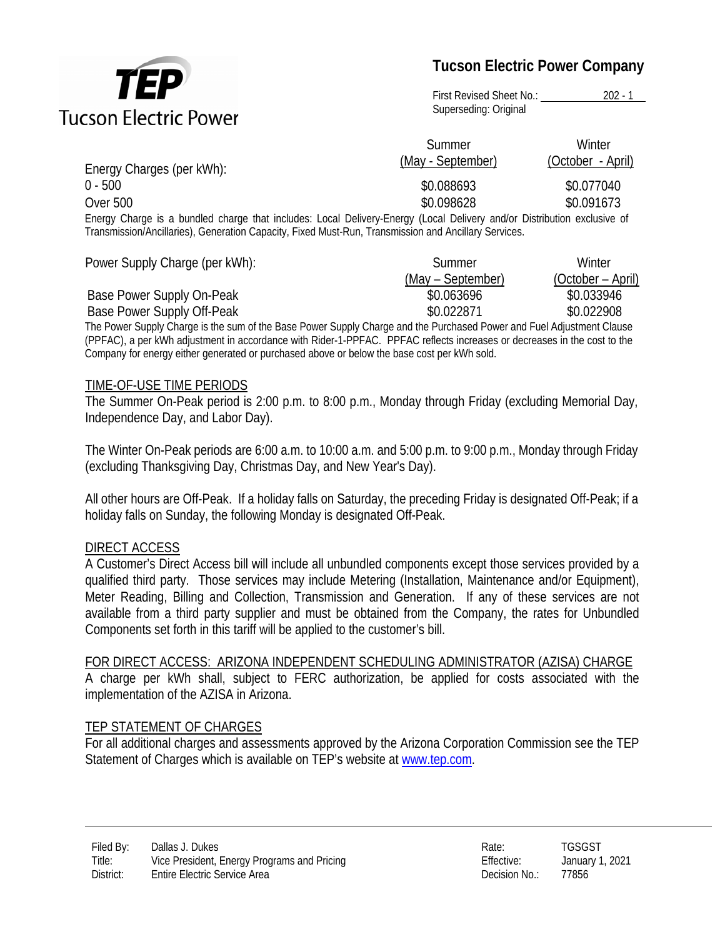

# **Tucson Electric Power Company**

First Revised Sheet No.: 202 - 1 Superseding: Original

|                                                                                                                         | Summer<br>(May - September) | Winter<br>(October - April) |
|-------------------------------------------------------------------------------------------------------------------------|-----------------------------|-----------------------------|
| Energy Charges (per kWh):                                                                                               |                             |                             |
| $0 - 500$                                                                                                               | \$0.088693                  | \$0.077040                  |
| <b>Over 500</b>                                                                                                         | \$0.098628                  | \$0.091673                  |
| Energy Charge is a bundled charge that includes: Local Delivery-Energy (Local Delivery and/or Distribution exclusive of |                             |                             |

 $\bar{s}$  a bundled charge that includes: Local Delivery-Energy (Local Delivery and/or Distribution exclusive of Transmission/Ancillaries), Generation Capacity, Fixed Must-Run, Transmission and Ancillary Services.

| Power Supply Charge (per kWh):                                                                                        | Summer            | Winter            |
|-----------------------------------------------------------------------------------------------------------------------|-------------------|-------------------|
|                                                                                                                       | (May – September) | (October – April) |
| Base Power Supply On-Peak                                                                                             | \$0.063696        | \$0.033946        |
| Base Power Supply Off-Peak                                                                                            | \$0.022871        | \$0.022908        |
| The Dower Supply Charge is the sum of the Rase Dower Supply Charge and the Durchased Dower and Euel Adjustment Clause |                   |                   |

The Power Supply Charge is the sum of the Base Power Supply Charge and the Purchased Power and Fuel Adjustment Clause (PPFAC), a per kWh adjustment in accordance with Rider-1-PPFAC. PPFAC reflects increases or decreases in the cost to the Company for energy either generated or purchased above or below the base cost per kWh sold.

#### TIME-OF-USE TIME PERIODS

The Summer On-Peak period is 2:00 p.m. to 8:00 p.m., Monday through Friday (excluding Memorial Day, Independence Day, and Labor Day).

The Winter On-Peak periods are 6:00 a.m. to 10:00 a.m. and 5:00 p.m. to 9:00 p.m., Monday through Friday (excluding Thanksgiving Day, Christmas Day, and New Year's Day).

All other hours are Off-Peak. If a holiday falls on Saturday, the preceding Friday is designated Off-Peak; if a holiday falls on Sunday, the following Monday is designated Off-Peak.

#### DIRECT ACCESS

A Customer's Direct Access bill will include all unbundled components except those services provided by a qualified third party. Those services may include Metering (Installation, Maintenance and/or Equipment), Meter Reading, Billing and Collection, Transmission and Generation. If any of these services are not available from a third party supplier and must be obtained from the Company, the rates for Unbundled Components set forth in this tariff will be applied to the customer's bill.

#### FOR DIRECT ACCESS: ARIZONA INDEPENDENT SCHEDULING ADMINISTRATOR (AZISA) CHARGE

A charge per kWh shall, subject to FERC authorization, be applied for costs associated with the implementation of the AZISA in Arizona.

### TEP STATEMENT OF CHARGES

For all additional charges and assessments approved by the Arizona Corporation Commission see the TEP Statement of Charges which is available on TEP's website at www.tep.com.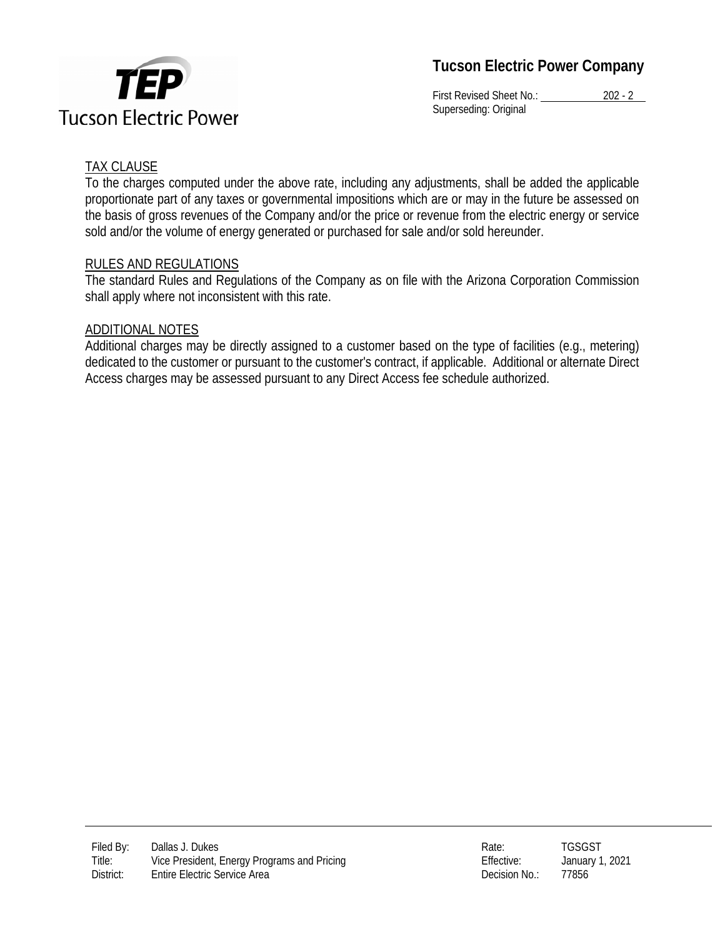

**Tucson Electric Power Company** 

First Revised Sheet No.: 202 - 2 Superseding: Original

## TAX CLAUSE

To the charges computed under the above rate, including any adjustments, shall be added the applicable proportionate part of any taxes or governmental impositions which are or may in the future be assessed on the basis of gross revenues of the Company and/or the price or revenue from the electric energy or service sold and/or the volume of energy generated or purchased for sale and/or sold hereunder.

### RULES AND REGULATIONS

The standard Rules and Regulations of the Company as on file with the Arizona Corporation Commission shall apply where not inconsistent with this rate.

### ADDITIONAL NOTES

Additional charges may be directly assigned to a customer based on the type of facilities (e.g., metering) dedicated to the customer or pursuant to the customer's contract, if applicable. Additional or alternate Direct Access charges may be assessed pursuant to any Direct Access fee schedule authorized.